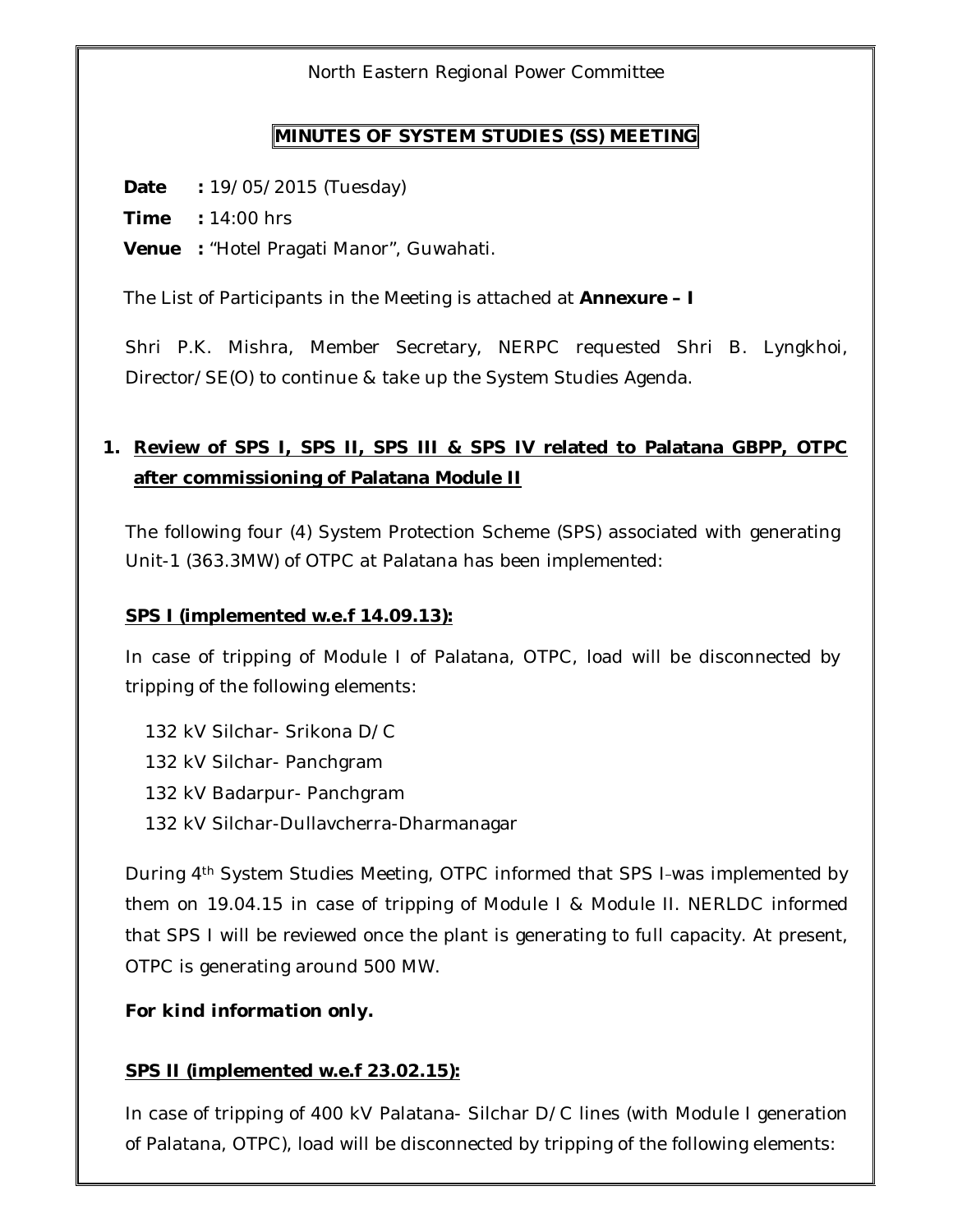North Eastern Regional Power Committee

### **MINUTES OF SYSTEM STUDIES (SS) MEETING**

**Date :** 19/05/2015 (Tuesday)

**Time :** 14:00 hrs

**Venue :** "Hotel Pragati Manor", Guwahati.

The List of Participants in the Meeting is attached at **Annexure – I**

Shri P.K. Mishra, Member Secretary, NERPC requested Shri B. Lyngkhoi, Director/SE(O) to continue & take up the System Studies Agenda.

## **1. Review of SPS I, SPS II, SPS III & SPS IV related to Palatana GBPP, OTPC after commissioning of Palatana Module II**

The following four (4) System Protection Scheme (SPS) associated with generating Unit-1 (363.3MW) of OTPC at Palatana has been implemented:

### **SPS I (implemented w.e.f 14.09.13):**

In case of tripping of Module I of Palatana, OTPC, load will be disconnected by tripping of the following elements:

132 kV Silchar- Srikona D/C 132 kV Silchar- Panchgram 132 kV Badarpur- Panchgram 132 kV Silchar-Dullavcherra-Dharmanagar

During 4<sup>th</sup> System Studies Meeting, OTPC informed that SPS I-was implemented by them on 19.04.15 in case of tripping of Module I & Module II. NERLDC informed that SPS I will be reviewed once the plant is generating to full capacity. At present, OTPC is generating around 500 MW.

### *For kind information only.*

### **SPS II (implemented w.e.f 23.02.15):**

In case of tripping of 400 kV Palatana- Silchar D/C lines (with Module I generation of Palatana, OTPC), load will be disconnected by tripping of the following elements: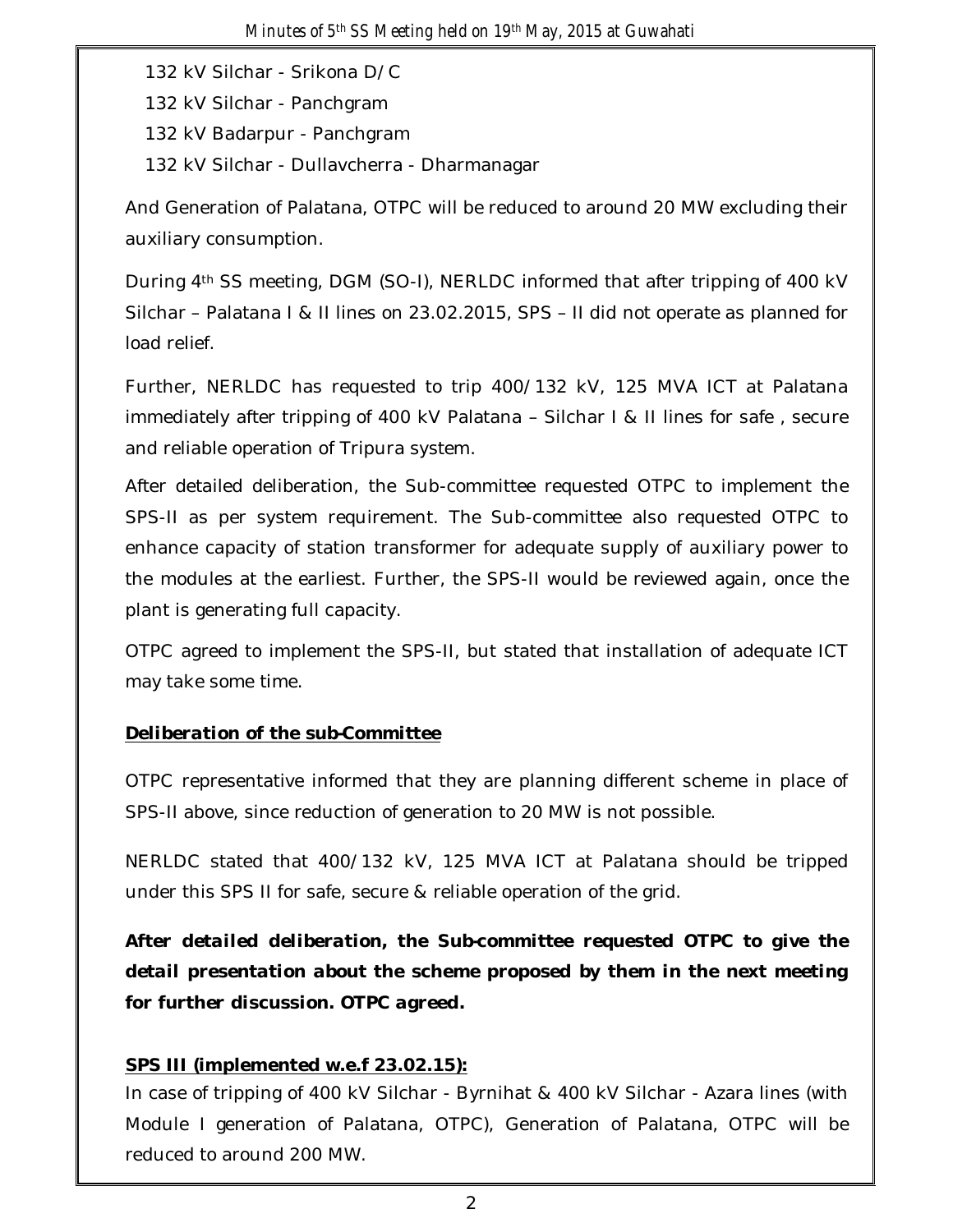132 kV Silchar - Srikona D/C 132 kV Silchar - Panchgram 132 kV Badarpur - Panchgram 132 kV Silchar - Dullavcherra - Dharmanagar

And Generation of Palatana, OTPC will be reduced to around 20 MW excluding their auxiliary consumption.

During 4th SS meeting, DGM (SO-I), NERLDC informed that after tripping of 400 kV Silchar – Palatana I & II lines on 23.02.2015, SPS – II did not operate as planned for load relief.

Further, NERLDC has requested to trip 400/132 kV, 125 MVA ICT at Palatana immediately after tripping of 400 kV Palatana – Silchar I & II lines for safe , secure and reliable operation of Tripura system.

After detailed deliberation, the Sub-committee requested OTPC to implement the SPS-II as per system requirement. The Sub-committee also requested OTPC to enhance capacity of station transformer for adequate supply of auxiliary power to the modules at the earliest. Further, the SPS-II would be reviewed again, once the plant is generating full capacity.

OTPC agreed to implement the SPS-II, but stated that installation of adequate ICT may take some time.

## *Deliberation of the sub-Committee*

OTPC representative informed that they are planning different scheme in place of SPS-II above, since reduction of generation to 20 MW is not possible.

NERLDC stated that 400/132 kV, 125 MVA ICT at Palatana should be tripped under this SPS II for safe, secure & reliable operation of the grid.

*After detailed deliberation, the Sub-committee requested OTPC to give the detail presentation about the scheme proposed by them in the next meeting for further discussion. OTPC agreed.*

### **SPS III (implemented w.e.f 23.02.15):**

In case of tripping of 400 kV Silchar - Byrnihat & 400 kV Silchar - Azara lines (with Module I generation of Palatana, OTPC), Generation of Palatana, OTPC will be reduced to around 200 MW.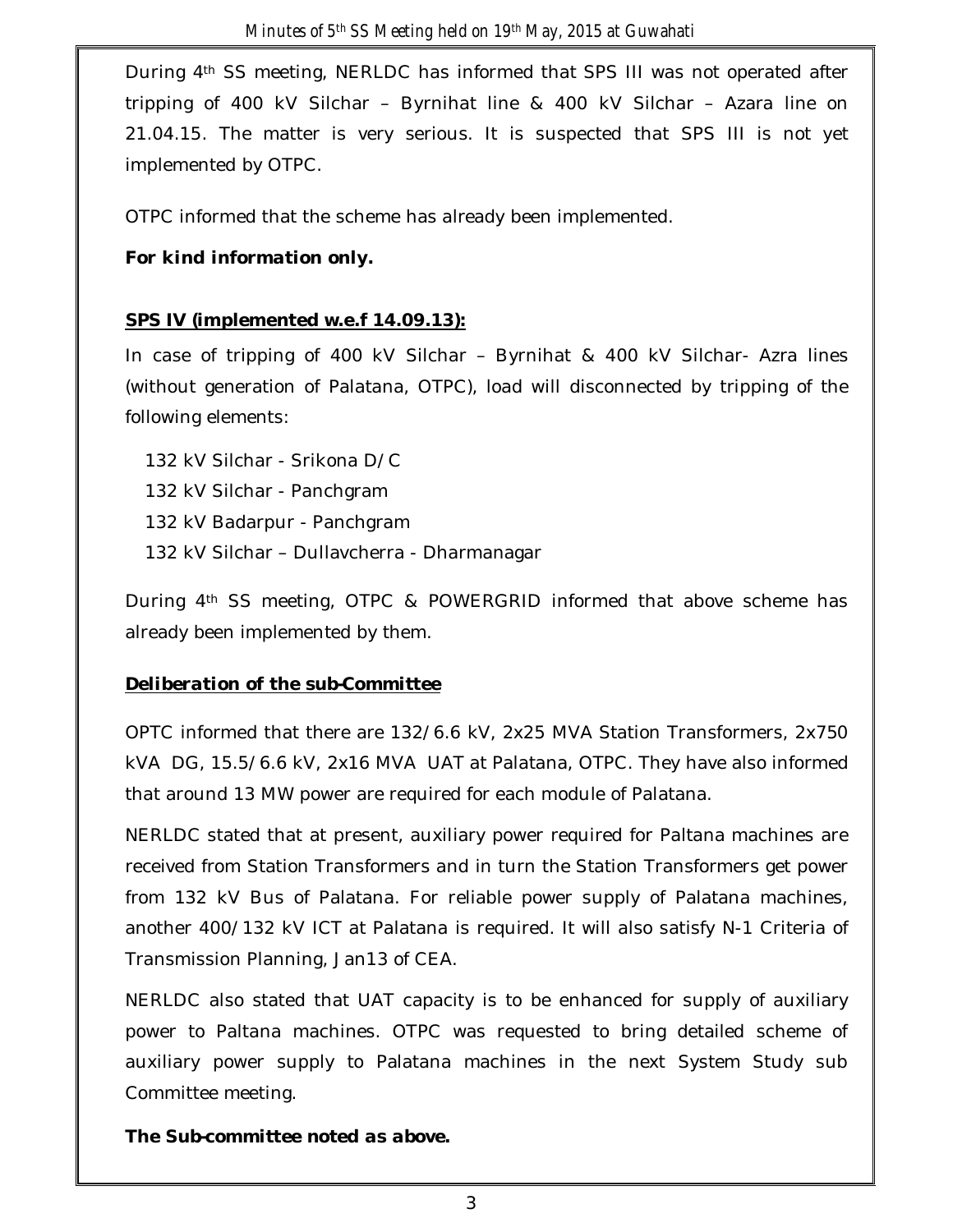During 4th SS meeting, NERLDC has informed that SPS III was not operated after tripping of 400 kV Silchar – Byrnihat line & 400 kV Silchar – Azara line on 21.04.15. The matter is very serious. It is suspected that SPS III is not yet implemented by OTPC.

OTPC informed that the scheme has already been implemented.

## *For kind information only.*

## **SPS IV (implemented w.e.f 14.09.13):**

In case of tripping of 400 kV Silchar – Byrnihat & 400 kV Silchar- Azra lines (without generation of Palatana, OTPC), load will disconnected by tripping of the following elements:

132 kV Silchar - Srikona D/C 132 kV Silchar - Panchgram 132 kV Badarpur - Panchgram 132 kV Silchar – Dullavcherra - Dharmanagar

During 4th SS meeting, OTPC & POWERGRID informed that above scheme has already been implemented by them.

### *Deliberation of the sub-Committee*

OPTC informed that there are 132/6.6 kV, 2x25 MVA Station Transformers, 2x750 kVA DG, 15.5/6.6 kV, 2x16 MVA UAT at Palatana, OTPC. They have also informed that around 13 MW power are required for each module of Palatana.

NERLDC stated that at present, auxiliary power required for Paltana machines are received from Station Transformers and in turn the Station Transformers get power from 132 kV Bus of Palatana. For reliable power supply of Palatana machines, another 400/132 kV ICT at Palatana is required. It will also satisfy N-1 Criteria of Transmission Planning, Jan13 of CEA.

NERLDC also stated that UAT capacity is to be enhanced for supply of auxiliary power to Paltana machines. OTPC was requested to bring detailed scheme of auxiliary power supply to Palatana machines in the next System Study sub Committee meeting.

*The Sub-committee noted as above.*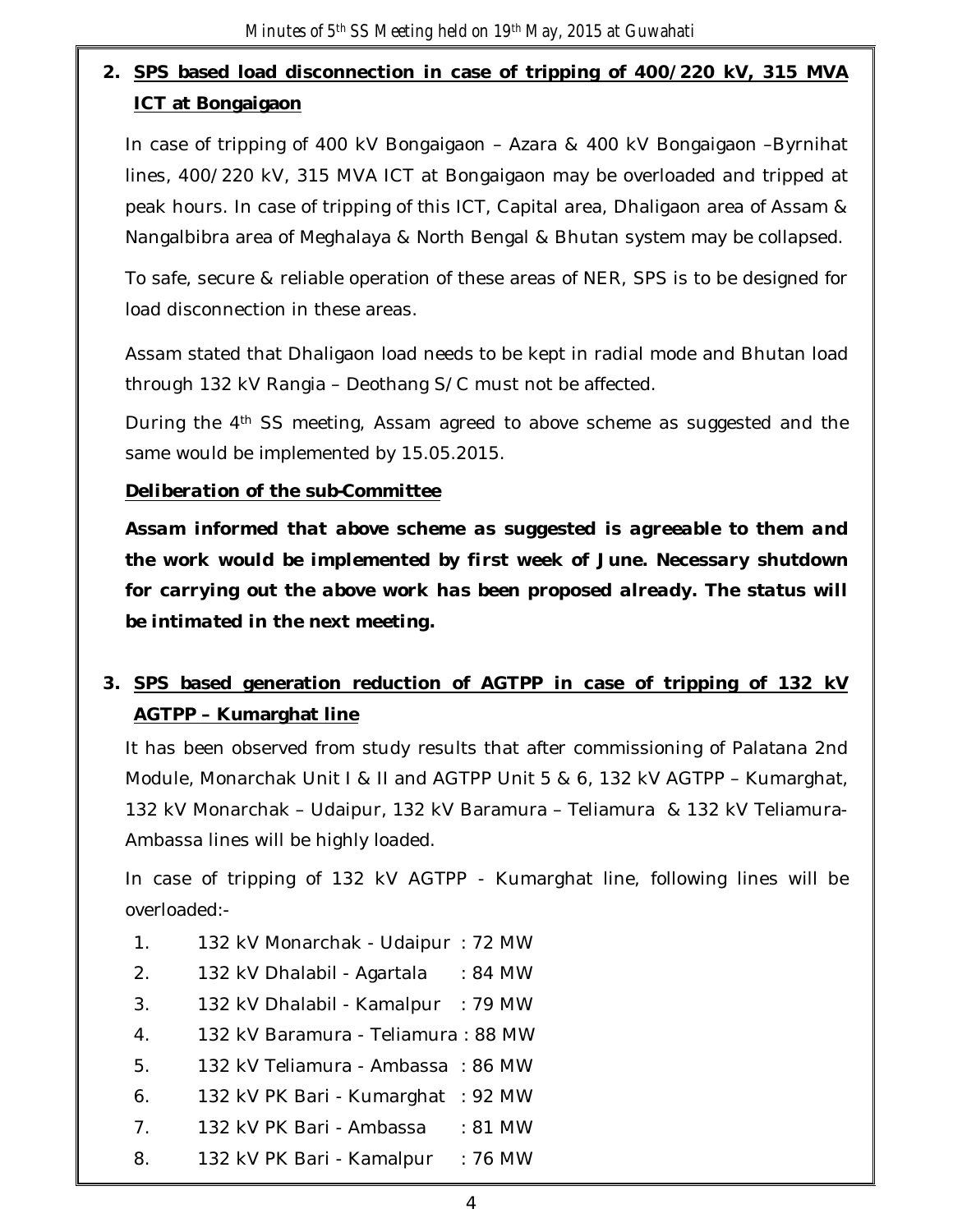# **2. SPS based load disconnection in case of tripping of 400/220 kV, 315 MVA ICT at Bongaigaon**

In case of tripping of 400 kV Bongaigaon – Azara & 400 kV Bongaigaon –Byrnihat lines, 400/220 kV, 315 MVA ICT at Bongaigaon may be overloaded and tripped at peak hours. In case of tripping of this ICT, Capital area, Dhaligaon area of Assam & Nangalbibra area of Meghalaya & North Bengal & Bhutan system may be collapsed.

To safe, secure & reliable operation of these areas of NER, SPS is to be designed for load disconnection in these areas.

Assam stated that Dhaligaon load needs to be kept in radial mode and Bhutan load through 132 kV Rangia – Deothang S/C must not be affected.

During the 4th SS meeting, Assam agreed to above scheme as suggested and the same would be implemented by 15.05.2015.

### *Deliberation of the sub-Committee*

*Assam informed that above scheme as suggested is agreeable to them and the work would be implemented by first week of June. Necessary shutdown*  for carrying out the above work has been proposed already. The status will *be intimated in the next meeting.*

## **3. SPS based generation reduction of AGTPP in case of tripping of 132 kV AGTPP – Kumarghat line**

It has been observed from study results that after commissioning of Palatana 2nd Module, Monarchak Unit I & II and AGTPP Unit 5 & 6, 132 kV AGTPP – Kumarghat, 132 kV Monarchak – Udaipur, 132 kV Baramura – Teliamura & 132 kV Teliamura-Ambassa lines will be highly loaded.

In case of tripping of 132 kV AGTPP - Kumarghat line, following lines will be overloaded:-

- 1. 132 kV Monarchak Udaipur : 72 MW
- 2. 132 kV Dhalabil Agartala : 84 MW
- 3. 132 kV Dhalabil Kamalpur : 79 MW
- 4. 132 kV Baramura Teliamura : 88 MW
- 5. 132 kV Teliamura Ambassa : 86 MW
- 6. 132 kV PK Bari Kumarghat : 92 MW
- 7. 132 kV PK Bari Ambassa : 81 MW
- 8. 132 kV PK Bari Kamalpur : 76 MW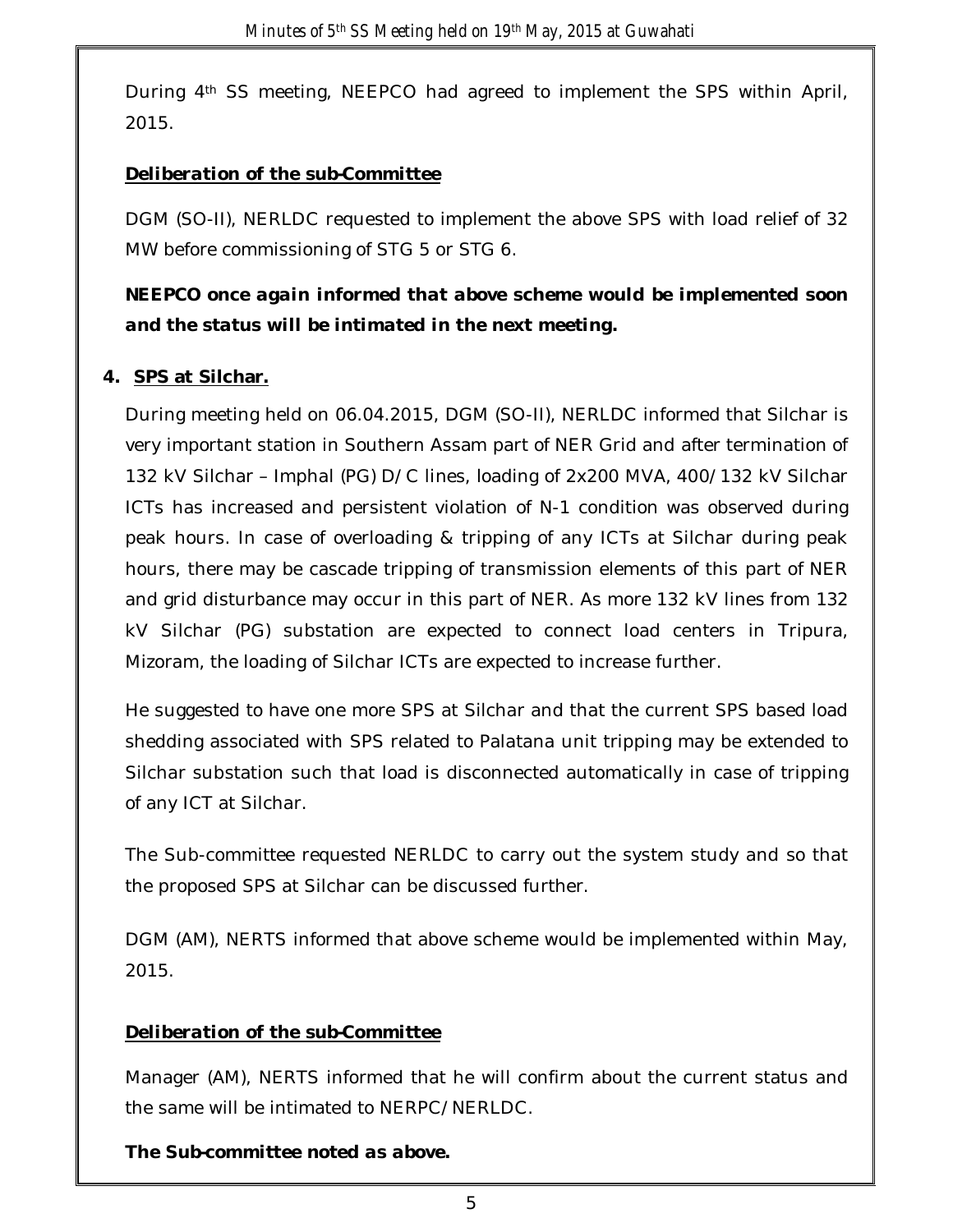During 4th SS meeting, NEEPCO had agreed to implement the SPS within April, 2015.

## *Deliberation of the sub-Committee*

DGM (SO-II), NERLDC requested to implement the above SPS with load relief of 32 MW before commissioning of STG 5 or STG 6.

## *NEEPCO once again informed that above scheme would be implemented soon and the status will be intimated in the next meeting.*

## **4. SPS at Silchar.**

During meeting held on 06.04.2015, DGM (SO-II), NERLDC informed that Silchar is very important station in Southern Assam part of NER Grid and after termination of 132 kV Silchar – Imphal (PG) D/C lines, loading of 2x200 MVA, 400/132 kV Silchar ICTs has increased and persistent violation of N-1 condition was observed during peak hours. In case of overloading & tripping of any ICTs at Silchar during peak hours, there may be cascade tripping of transmission elements of this part of NER and grid disturbance may occur in this part of NER. As more 132 kV lines from 132 kV Silchar (PG) substation are expected to connect load centers in Tripura, Mizoram, the loading of Silchar ICTs are expected to increase further.

He suggested to have one more SPS at Silchar and that the current SPS based load shedding associated with SPS related to Palatana unit tripping may be extended to Silchar substation such that load is disconnected automatically in case of tripping of any ICT at Silchar.

The Sub-committee requested NERLDC to carry out the system study and so that the proposed SPS at Silchar can be discussed further.

DGM (AM), NERTS informed that above scheme would be implemented within May, 2015.

## *Deliberation of the sub-Committee*

Manager (AM), NERTS informed that he will confirm about the current status and the same will be intimated to NERPC/NERLDC.

*The Sub-committee noted as above.*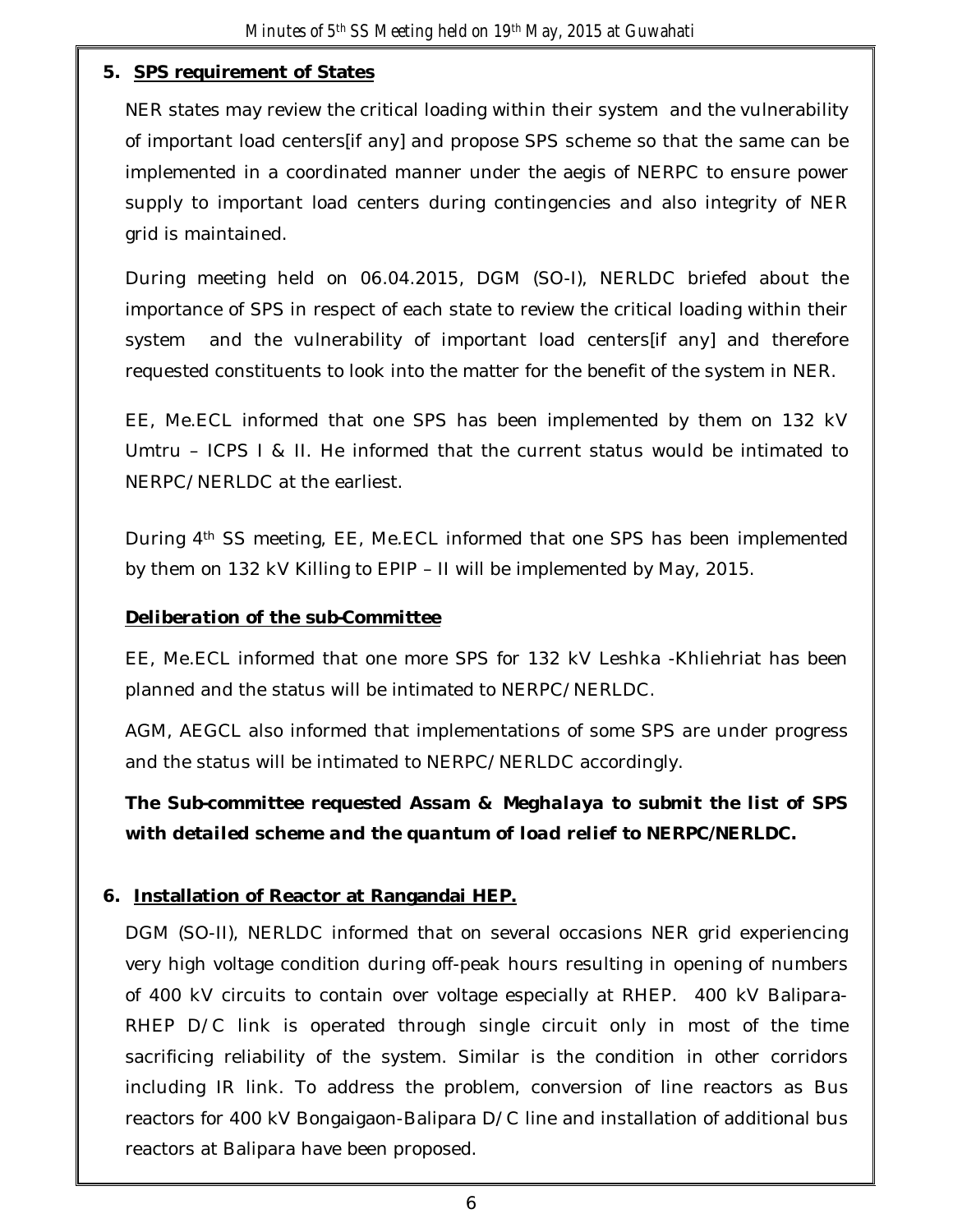### **5. SPS requirement of States**

NER states may review the critical loading within their system and the vulnerability of important load centers[if any] and propose SPS scheme so that the same can be implemented in a coordinated manner under the aegis of NERPC to ensure power supply to important load centers during contingencies and also integrity of NER grid is maintained.

During meeting held on 06.04.2015, DGM (SO-I), NERLDC briefed about the importance of SPS in respect of each state to review the critical loading within their system and the vulnerability of important load centers[if any] and therefore requested constituents to look into the matter for the benefit of the system in NER.

EE, Me.ECL informed that one SPS has been implemented by them on 132 kV Umtru – ICPS I & II. He informed that the current status would be intimated to NERPC/NERLDC at the earliest.

During 4th SS meeting, EE, Me.ECL informed that one SPS has been implemented by them on 132 kV Killing to EPIP – II will be implemented by May, 2015.

### *Deliberation of the sub-Committee*

EE, Me.ECL informed that one more SPS for 132 kV Leshka -Khliehriat has been planned and the status will be intimated to NERPC/NERLDC.

AGM, AEGCL also informed that implementations of some SPS are under progress and the status will be intimated to NERPC/NERLDC accordingly.

*The Sub-committee requested Assam & Meghalaya to submit the list of SPS with detailed scheme and the quantum of load relief to NERPC/NERLDC.*

## **6. Installation of Reactor at Rangandai HEP.**

DGM (SO-II), NERLDC informed that on several occasions NER grid experiencing very high voltage condition during off-peak hours resulting in opening of numbers of 400 kV circuits to contain over voltage especially at RHEP. 400 kV Balipara-RHEP D/C link is operated through single circuit only in most of the time sacrificing reliability of the system. Similar is the condition in other corridors including IR link. To address the problem, conversion of line reactors as Bus reactors for 400 kV Bongaigaon-Balipara D/C line and installation of additional bus reactors at Balipara have been proposed.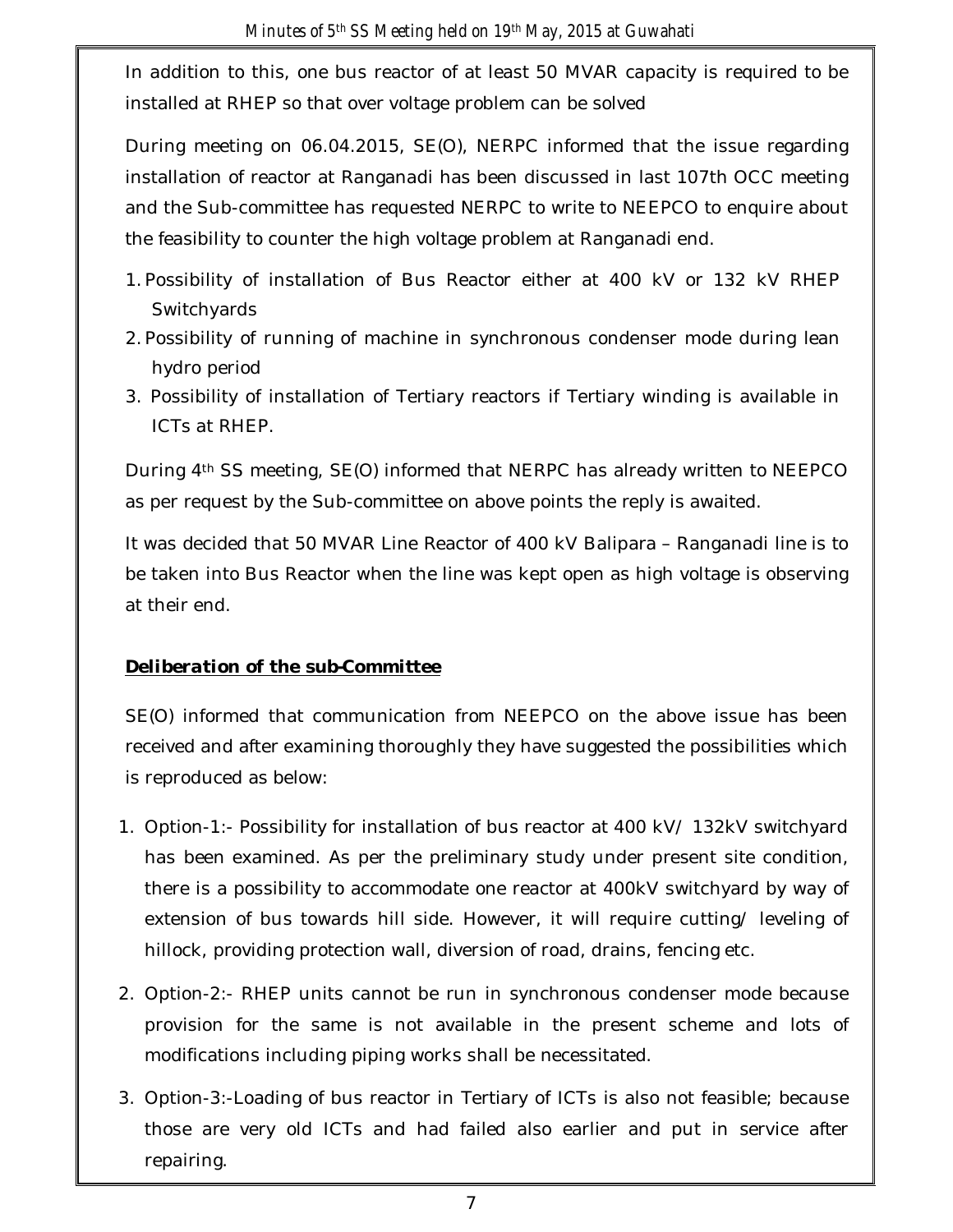In addition to this, one bus reactor of at least 50 MVAR capacity is required to be installed at RHEP so that over voltage problem can be solved

During meeting on 06.04.2015, SE(O), NERPC informed that the issue regarding installation of reactor at Ranganadi has been discussed in last 107th OCC meeting and the Sub-committee has requested NERPC to write to NEEPCO to enquire about the feasibility to counter the high voltage problem at Ranganadi end.

- 1. Possibility of installation of Bus Reactor either at 400 kV or 132 kV RHEP **Switchyards**
- 2. Possibility of running of machine in synchronous condenser mode during lean hydro period
- 3. Possibility of installation of Tertiary reactors if Tertiary winding is available in ICTs at RHEP.

During 4th SS meeting, SE(O) informed that NERPC has already written to NEEPCO as per request by the Sub-committee on above points the reply is awaited.

It was decided that 50 MVAR Line Reactor of 400 kV Balipara – Ranganadi line is to be taken into Bus Reactor when the line was kept open as high voltage is observing at their end.

## *Deliberation of the sub-Committee*

SE(O) informed that communication from NEEPCO on the above issue has been received and after examining thoroughly they have suggested the possibilities which is reproduced as below:

- 1. Option-1:- Possibility for installation of bus reactor at 400 kV/ 132kV switchyard has been examined. As per the preliminary study under present site condition, there is a possibility to accommodate one reactor at 400kV switchyard by way of extension of bus towards hill side. However, it will require cutting/ leveling of hillock, providing protection wall, diversion of road, drains, fencing etc.
- 2. Option-2:- RHEP units cannot be run in synchronous condenser mode because provision for the same is not available in the present scheme and lots of modifications including piping works shall be necessitated.
- 3. Option-3:-Loading of bus reactor in Tertiary of ICTs is also not feasible; because those are very old ICTs and had failed also earlier and put in service after repairing.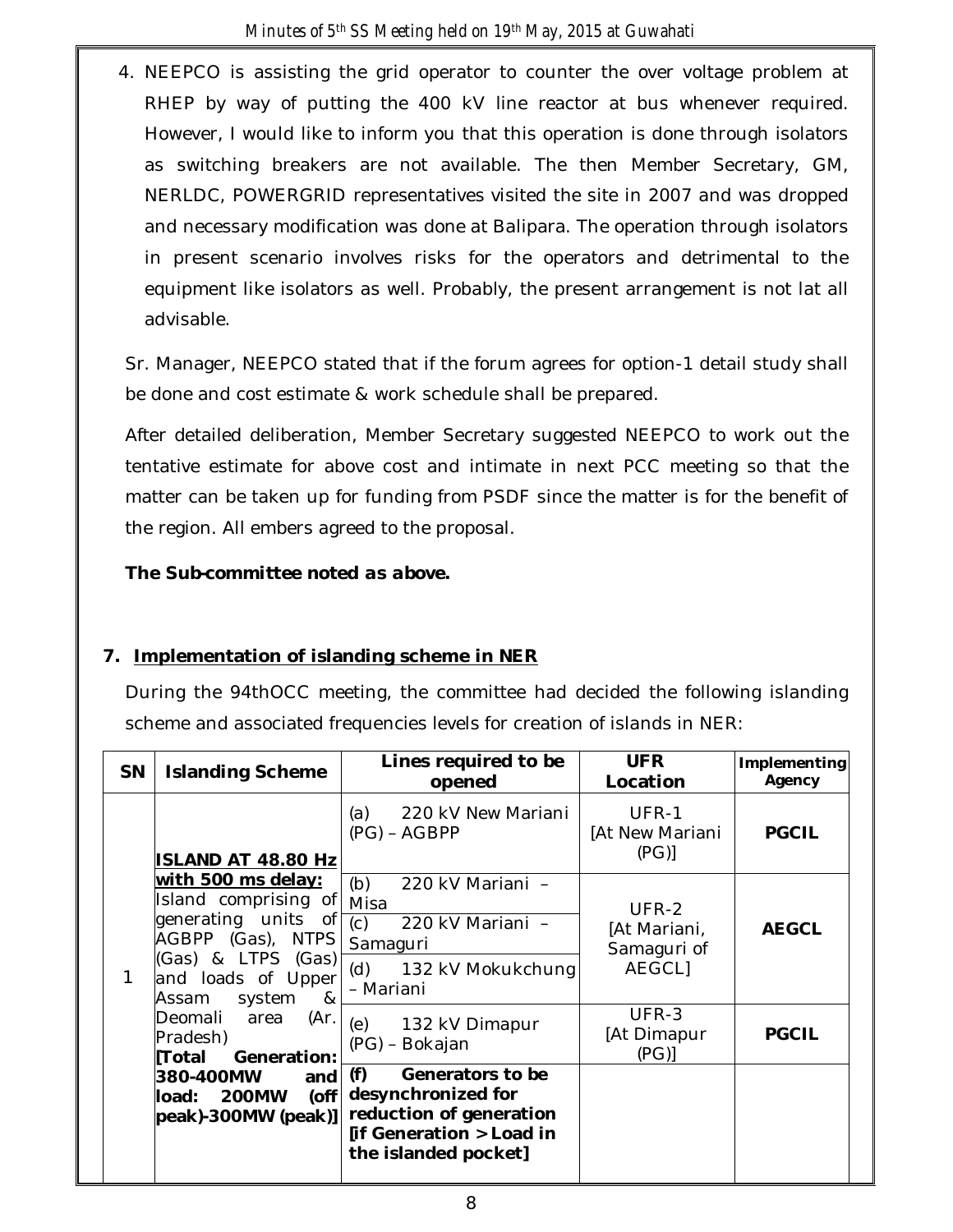4. NEEPCO is assisting the grid operator to counter the over voltage problem at RHEP by way of putting the 400 kV line reactor at bus whenever required. However, I would like to inform you that this operation is done through isolators as switching breakers are not available. The then Member Secretary, GM, NERLDC, POWERGRID representatives visited the site in 2007 and was dropped and necessary modification was done at Balipara. The operation through isolators in present scenario involves risks for the operators and detrimental to the equipment like isolators as well. Probably, the present arrangement is not lat all advisable.

Sr. Manager, NEEPCO stated that if the forum agrees for option-1 detail study shall be done and cost estimate & work schedule shall be prepared.

After detailed deliberation, Member Secretary suggested NEEPCO to work out the tentative estimate for above cost and intimate in next PCC meeting so that the matter can be taken up for funding from PSDF since the matter is for the benefit of the region. All embers agreed to the proposal.

### *The Sub-committee noted as above.*

## **7. Implementation of islanding scheme in NER**

During the 94thOCC meeting, the committee had decided the following islanding scheme and associated frequencies levels for creation of islands in NER:

|  | <b>SN</b>    | <b>Islanding Scheme</b>                                                                                                                                                                                                                                                                                   | Lines required to be<br>opened                                                                                               | <b>UFR</b><br>Location                                | Implementing<br>Agency |
|--|--------------|-----------------------------------------------------------------------------------------------------------------------------------------------------------------------------------------------------------------------------------------------------------------------------------------------------------|------------------------------------------------------------------------------------------------------------------------------|-------------------------------------------------------|------------------------|
|  |              | ISLAND AT 48.80 Hz                                                                                                                                                                                                                                                                                        | 220 kV New Mariani<br>(a)<br>$(PG) - AGBPP$                                                                                  | UFR-1<br>[At New Mariani<br>(PG)                      | <b>PGCIL</b>           |
|  | $\mathbf{1}$ | with 500 ms delay:<br>Island comprising of<br>generating units of<br>AGBPP (Gas), NTPS<br>(Gas) & LTPS (Gas)<br>and loads of Upper<br>system<br>&<br>Assam<br>Deomali<br>(Ar)<br>area<br>Pradesh)<br>Generation:<br> Total<br>380-400MW<br>and<br>$($ off<br><b>200MW</b><br>load:<br>peak)-300MW (peak)] | 220 kV Mariani -<br>(b)<br>Misa<br>(c)<br>220 kV Mariani -<br>Samaguri<br>(d)<br>132 kV Mokukchung<br>- Mariani              | UFR-2<br>[At Mariani,<br>Samaguri of<br><b>AEGCLI</b> | <b>AEGCL</b>           |
|  |              |                                                                                                                                                                                                                                                                                                           | 132 kV Dimapur<br>(e)<br>(PG) - Bokajan                                                                                      | UFR-3<br>[At Dimapur<br>(PG)                          | <b>PGCIL</b>           |
|  |              |                                                                                                                                                                                                                                                                                                           | Generators to be<br>(f)<br>desynchronized for<br>reduction of generation<br>[if Generation > Load in<br>the islanded pocket] |                                                       |                        |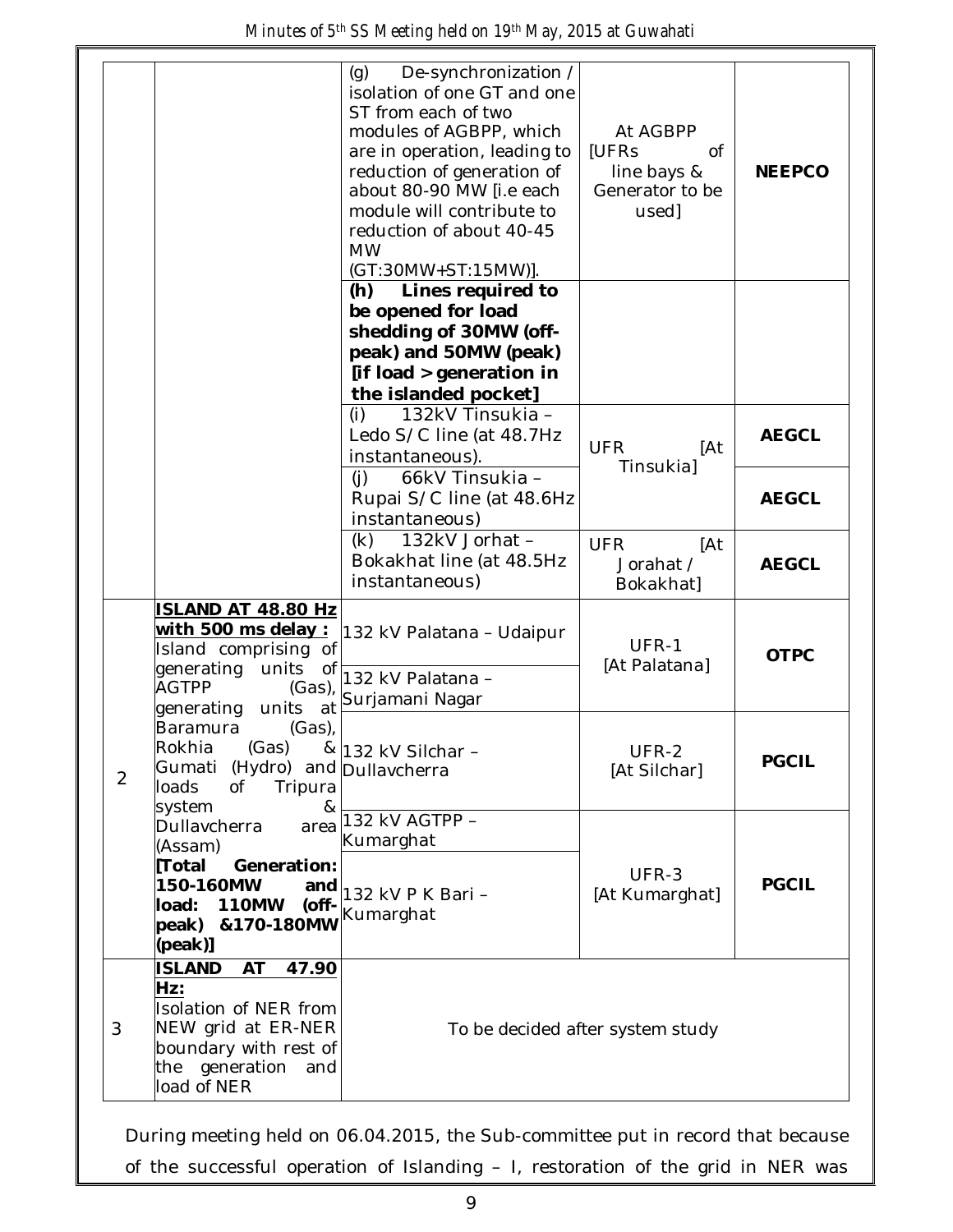|                |                                                                                                                                                     | De-synchronization /<br>(g)<br>isolation of one GT and one<br>ST from each of two<br>modules of AGBPP, which<br>are in operation, leading to<br>reduction of generation of<br>about 80-90 MW [i.e each<br>module will contribute to<br>reduction of about 40-45<br><b>MW</b><br>(GT:30MW+ST:15MW)]. | At AGBPP<br>[UFRs<br>0f<br>line bays &<br>Generator to be<br>used] | <b>NEEPCO</b> |
|----------------|-----------------------------------------------------------------------------------------------------------------------------------------------------|-----------------------------------------------------------------------------------------------------------------------------------------------------------------------------------------------------------------------------------------------------------------------------------------------------|--------------------------------------------------------------------|---------------|
|                |                                                                                                                                                     | (h)<br>Lines required to<br>be opened for load<br>shedding of 30MW (off-<br>peak) and 50MW (peak)<br>[if load > generation in<br>the islanded pocket]                                                                                                                                               |                                                                    |               |
|                |                                                                                                                                                     | 132kV Tinsukia -<br>(i)<br>Ledo S/C line (at 48.7Hz<br>instantaneous).                                                                                                                                                                                                                              | <b>UFR</b><br>[At<br>Tinsukial                                     | <b>AEGCL</b>  |
|                |                                                                                                                                                     | (i)<br>66kV Tinsukia -<br>Rupai S/C line (at 48.6Hz<br>instantaneous)                                                                                                                                                                                                                               |                                                                    | <b>AEGCL</b>  |
|                |                                                                                                                                                     | 132kV Jorhat -<br>(k)<br>Bokakhat line (at 48.5Hz<br>instantaneous)                                                                                                                                                                                                                                 | <b>UFR</b><br>[At<br>Jorahat /<br>Bokakhat]                        | <b>AEGCL</b>  |
|                | ISLAND AT 48.80 Hz<br><u>with 500 ms delay :</u><br>Island comprising of<br>generating<br>units<br>of<br><b>AGTPP</b><br>(Gas)                      | 132 kV Palatana - Udaipur<br>132 kV Palatana -<br>Surjamani Nagar                                                                                                                                                                                                                                   | UFR-1<br>[At Palatana]                                             | <b>OTPC</b>   |
| $\overline{2}$ | units<br>generating<br>at<br>Baramura<br>(Gas),<br>Rokhia (Gas)<br>Gumati (Hydro) and Dullavcherra<br>loads<br>Tripura<br>Οf<br>system<br>&         | & 132 kV Silchar -                                                                                                                                                                                                                                                                                  | UFR-2<br>[At Silchar]                                              | <b>PGCIL</b>  |
|                | Dullavcherra<br>area<br>(Assam)<br>Total<br>Generation:<br>150-160MW<br>and<br><b>110MW</b><br>(off-<br>load:<br>peak) &170-180MW<br>(peak)]        | 132 kV AGTPP -<br>Kumarghat<br>132 kV P K Bari -<br>Kumarghat                                                                                                                                                                                                                                       | UFR-3<br>[At Kumarghat]                                            | <b>PGCIL</b>  |
| 3              | <b>ISLAND</b><br>AT<br>47.90<br>Hz:<br>Isolation of NER from<br>NEW grid at ER-NER<br>boundary with rest of<br>the generation<br>and<br>load of NER | To be decided after system study                                                                                                                                                                                                                                                                    |                                                                    |               |

During meeting held on 06.04.2015, the Sub-committee put in record that because of the successful operation of Islanding – I, restoration of the grid in NER was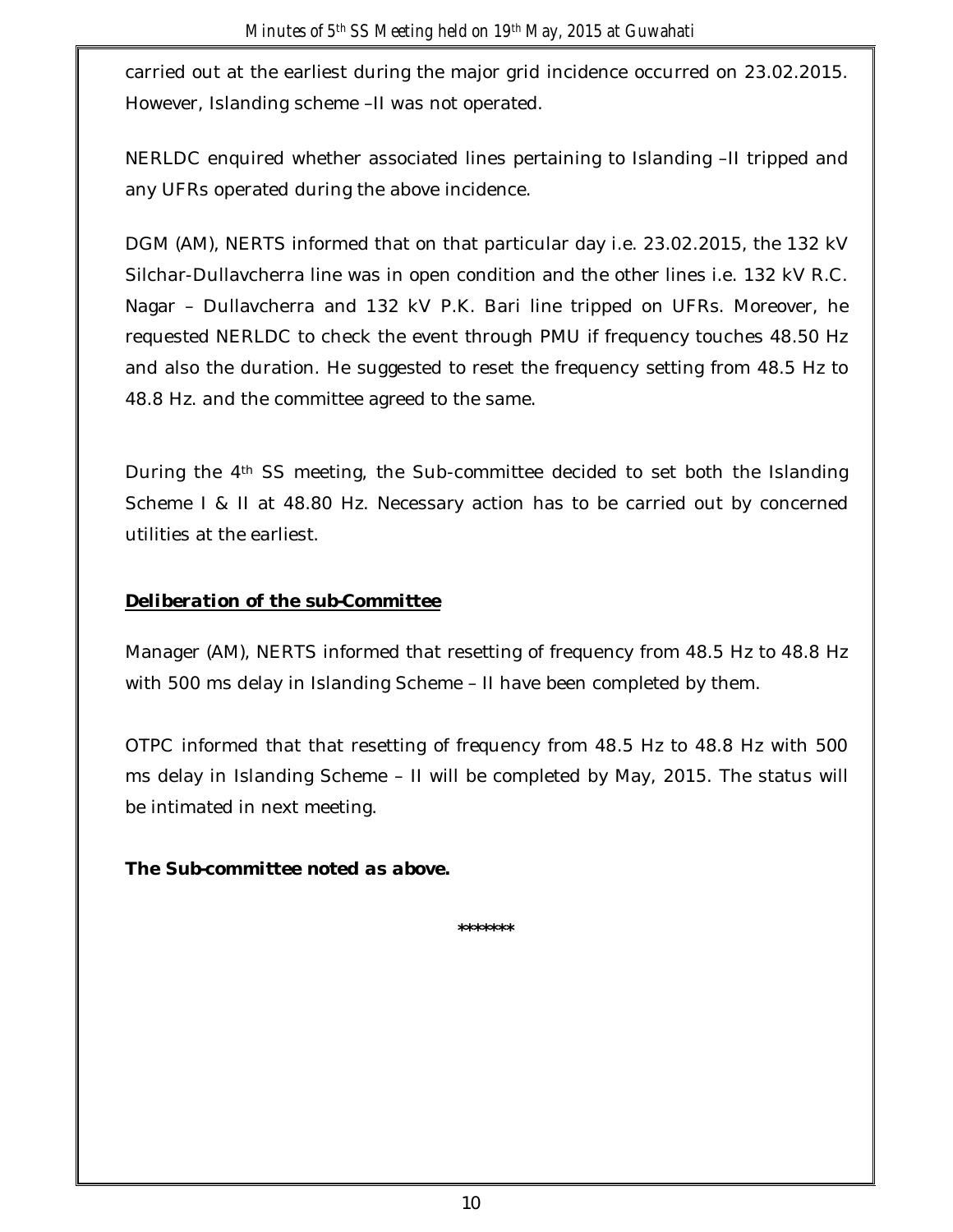carried out at the earliest during the major grid incidence occurred on 23.02.2015. However, Islanding scheme –II was not operated.

NERLDC enquired whether associated lines pertaining to Islanding –II tripped and any UFRs operated during the above incidence.

DGM (AM), NERTS informed that on that particular day i.e. 23.02.2015, the 132 kV Silchar-Dullavcherra line was in open condition and the other lines i.e. 132 kV R.C. Nagar – Dullavcherra and 132 kV P.K. Bari line tripped on UFRs. Moreover, he requested NERLDC to check the event through PMU if frequency touches 48.50 Hz and also the duration. He suggested to reset the frequency setting from 48.5 Hz to 48.8 Hz. and the committee agreed to the same.

During the 4th SS meeting, the Sub-committee decided to set both the Islanding Scheme I & II at 48.80 Hz. Necessary action has to be carried out by concerned utilities at the earliest.

### *Deliberation of the sub-Committee*

Manager (AM), NERTS informed that resetting of frequency from 48.5 Hz to 48.8 Hz with 500 ms delay in Islanding Scheme – II have been completed by them.

OTPC informed that that resetting of frequency from 48.5 Hz to 48.8 Hz with 500 ms delay in Islanding Scheme – II will be completed by May, 2015. The status will be intimated in next meeting.

## *The Sub-committee noted as above.*

**\*\*\*\*\*\*\***